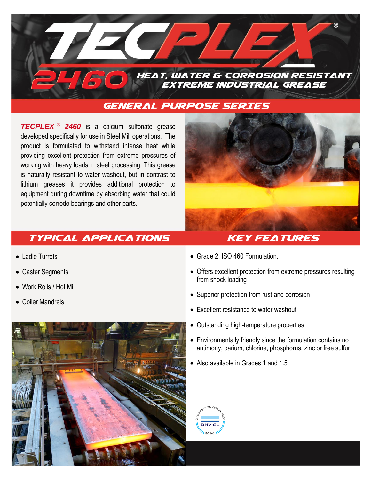

## **general purpose SERIES**

*TECPLEX* **®** *2460* is a calcium sulfonate grease developed specifically for use in Steel Mill operations. The product is formulated to withstand intense heat while providing excellent protection from extreme pressures of working with heavy loads in steel processing. This grease is naturally resistant to water washout, but in contrast to lithium greases it provides additional protection to equipment during downtime by absorbing water that could potentially corrode bearings and other parts.



## **Typical Applications Key Features**

- Ladle Turrets
- Caster Segments
- Work Rolls / Hot Mill
- Coiler Mandrels



- Grade 2, ISO 460 Formulation.
- Offers excellent protection from extreme pressures resulting from shock loading
- Superior protection from rust and corrosion
- Excellent resistance to water washout
- Outstanding high-temperature properties
- Environmentally friendly since the formulation contains no antimony, barium, chlorine, phosphorus, zinc or free sulfur
- Also available in Grades 1 and 1.5